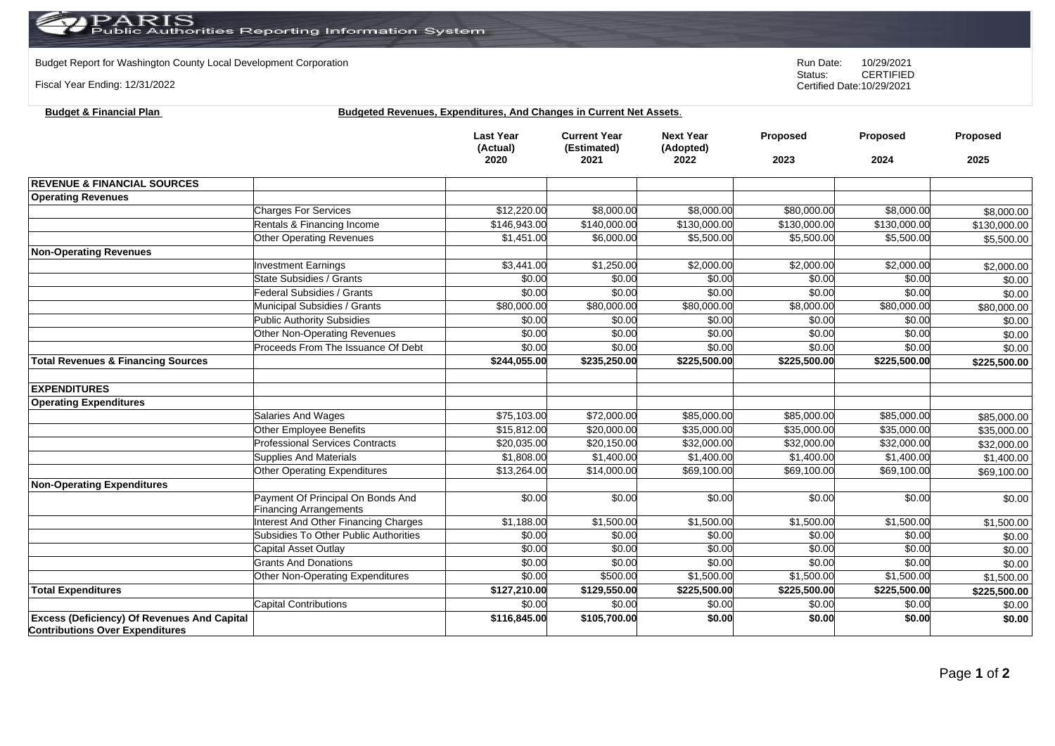Budget Report for Washington County Local Development Corporation **Run Date:** 10/29/2021<br>Status: CERTIFIED

Fiscal Year Ending: 12/31/2022

CERTIFIED Certified Date:10/29/2021

## **Budget & Financial Plan Budgeted Revenues, Expenditures, And Changes in Current Net Assets**.

|                                                                                              |                                                                    | <b>Last Year</b><br>(Actual)<br>2020 | <b>Current Year</b><br>(Estimated)<br>2021 | <b>Next Year</b><br>(Adopted)<br>2022 | Proposed<br>2023 | Proposed<br>2024        | Proposed<br>2025 |
|----------------------------------------------------------------------------------------------|--------------------------------------------------------------------|--------------------------------------|--------------------------------------------|---------------------------------------|------------------|-------------------------|------------------|
|                                                                                              |                                                                    |                                      |                                            |                                       |                  |                         |                  |
| <b>REVENUE &amp; FINANCIAL SOURCES</b>                                                       |                                                                    |                                      |                                            |                                       |                  |                         |                  |
| <b>Operating Revenues</b>                                                                    |                                                                    |                                      |                                            |                                       |                  |                         |                  |
|                                                                                              | <b>Charges For Services</b>                                        | \$12,220.00                          | \$8,000.00                                 | \$8,000.00                            | \$80,000.00      | \$8,000.00              | \$8,000.00       |
|                                                                                              | Rentals & Financing Income                                         | \$146,943.00                         | \$140,000.00                               | \$130,000.00                          | \$130,000.00     | \$130,000.00            | \$130,000.00     |
|                                                                                              | Other Operating Revenues                                           | \$1,451.00                           | \$6,000.00                                 | \$5,500.00                            | \$5,500.00       | \$5,500.00              | \$5,500.00       |
| <b>Non-Operating Revenues</b>                                                                |                                                                    |                                      |                                            |                                       |                  |                         |                  |
|                                                                                              | <b>Investment Earnings</b>                                         | \$3,441.00                           | \$1,250.00                                 | \$2,000.00                            | \$2,000.00       | \$2,000.00              | \$2,000.00       |
|                                                                                              | State Subsidies / Grants                                           | \$0.00                               | \$0.00                                     | \$0.00                                | \$0.00           | \$0.00                  | \$0.00           |
|                                                                                              | Federal Subsidies / Grants                                         | \$0.00                               | \$0.00                                     | \$0.00                                | \$0.00           | \$0.00                  | \$0.00           |
|                                                                                              | Municipal Subsidies / Grants                                       | \$80,000.00                          | \$80,000.00                                | \$80,000.00                           | \$8,000.00       | \$80,000.00             | \$80,000.00      |
|                                                                                              | <b>Public Authority Subsidies</b>                                  | \$0.00                               | \$0.00                                     | \$0.00                                | \$0.00           | \$0.00                  | \$0.00           |
|                                                                                              | Other Non-Operating Revenues                                       | \$0.00                               | \$0.00                                     | \$0.00                                | \$0.00           | \$0.00                  | \$0.00           |
|                                                                                              | Proceeds From The Issuance Of Debt                                 | \$0.00                               | \$0.00                                     | \$0.00                                | \$0.00           | \$0.00                  | \$0.00           |
| <b>Total Revenues &amp; Financing Sources</b>                                                |                                                                    | \$244,055.00                         | \$235,250.00                               | \$225,500.00                          | \$225,500.00     | \$225,500.00            | \$225,500.00     |
|                                                                                              |                                                                    |                                      |                                            |                                       |                  |                         |                  |
| <b>EXPENDITURES</b>                                                                          |                                                                    |                                      |                                            |                                       |                  |                         |                  |
| <b>Operating Expenditures</b>                                                                |                                                                    |                                      |                                            |                                       |                  |                         |                  |
|                                                                                              | Salaries And Wages                                                 | \$75,103.00                          | \$72,000.00                                | \$85,000.00                           | \$85,000.00      | \$85,000.00             | \$85,000.00      |
|                                                                                              | Other Employee Benefits                                            | \$15,812.00                          | \$20,000.00                                | \$35,000.00                           | \$35,000.00      | \$35,000.00             | \$35,000.00      |
|                                                                                              | <b>Professional Services Contracts</b>                             | \$20,035.00                          | \$20,150.00                                | \$32,000.00                           | \$32,000.00      | $\overline{$32,000.00}$ | \$32,000.00      |
|                                                                                              | <b>Supplies And Materials</b>                                      | \$1,808.00                           | \$1,400.00                                 | \$1,400.00                            | \$1,400.00       | \$1,400.00              | \$1,400.00       |
|                                                                                              | Other Operating Expenditures                                       | \$13,264.00                          | \$14,000.00                                | \$69,100.00                           | \$69,100.00      | \$69,100.00             | \$69,100.00      |
| <b>Non-Operating Expenditures</b>                                                            |                                                                    |                                      |                                            |                                       |                  |                         |                  |
|                                                                                              | Payment Of Principal On Bonds And<br><b>Financing Arrangements</b> | \$0.00                               | \$0.00                                     | \$0.00                                | \$0.00           | \$0.00                  | \$0.00           |
|                                                                                              | <b>Interest And Other Financing Charges</b>                        | \$1,188.00                           | \$1,500.00                                 | \$1,500.00                            | \$1,500.00       | \$1,500.00              | \$1,500.00       |
|                                                                                              | Subsidies To Other Public Authorities                              | \$0.00                               | \$0.00                                     | \$0.00                                | \$0.00           | \$0.00                  | \$0.00           |
|                                                                                              | Capital Asset Outlay                                               | \$0.00                               | \$0.00                                     | \$0.00                                | \$0.00           | \$0.00                  | \$0.00           |
|                                                                                              | <b>Grants And Donations</b>                                        | \$0.00                               | \$0.00                                     | \$0.00                                | \$0.00           | \$0.00                  | \$0.00           |
|                                                                                              | Other Non-Operating Expenditures                                   | \$0.00                               | \$500.00                                   | \$1,500.00                            | \$1,500.00       | \$1,500.00              | \$1,500.00       |
| <b>Total Expenditures</b>                                                                    |                                                                    | \$127,210.00                         | \$129,550.00                               | \$225,500.00                          | \$225,500.00     | \$225,500.00            | \$225,500.00     |
|                                                                                              | <b>Capital Contributions</b>                                       | \$0.00                               | \$0.00                                     | \$0.00                                | \$0.00           | \$0.00                  | \$0.00           |
| <b>Excess (Deficiency) Of Revenues And Capital</b><br><b>Contributions Over Expenditures</b> |                                                                    | \$116,845.00                         | \$105,700.00                               | \$0.00                                | \$0.00           | \$0.00                  | \$0.00           |